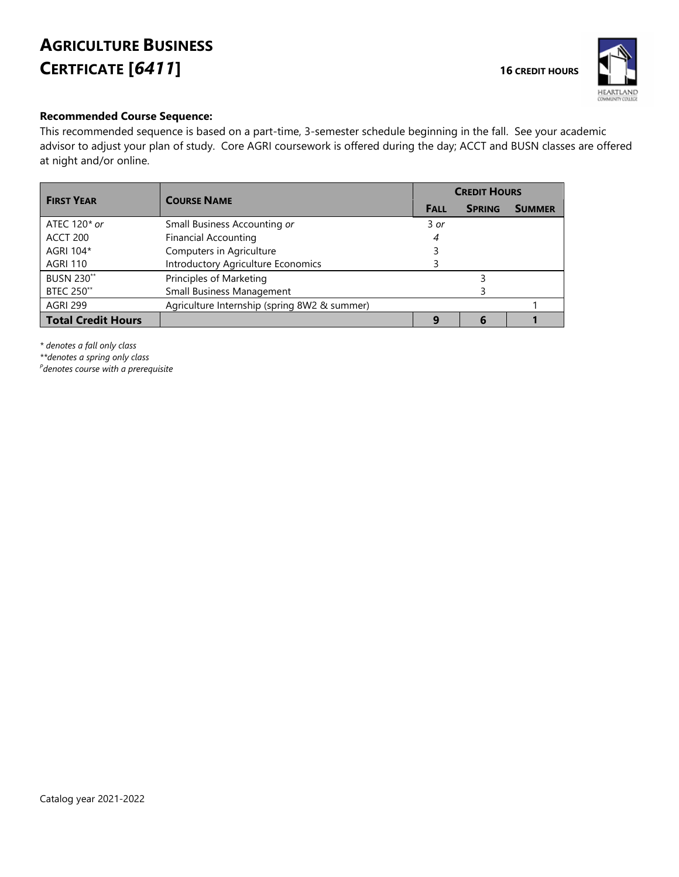# **AGRICULTURE BUSINESS CERTFICATE** [6411]



### **Recommended Course Sequence:**

This recommended sequence is based on a part-time, 3-semester schedule beginning in the fall. See your academic advisor to adjust your plan of study. Core AGRI coursework is offered during the day; ACCT and BUSN classes are offered at night and/or online.

| <b>FIRST YEAR</b>         | <b>COURSE NAME</b>                           |             | <b>CREDIT HOURS</b> |               |  |
|---------------------------|----------------------------------------------|-------------|---------------------|---------------|--|
|                           |                                              | <b>FALL</b> | <b>SPRING</b>       | <b>SUMMER</b> |  |
| ATEC 120* or              | Small Business Accounting or                 | $3$ or      |                     |               |  |
| ACCT 200                  | <b>Financial Accounting</b>                  | 4           |                     |               |  |
| AGRI 104*                 | Computers in Agriculture                     |             |                     |               |  |
| <b>AGRI 110</b>           | Introductory Agriculture Economics           |             |                     |               |  |
| <b>BUSN 230**</b>         | Principles of Marketing                      |             |                     |               |  |
| <b>BTEC 250**</b>         | Small Business Management                    |             |                     |               |  |
| <b>AGRI 299</b>           | Agriculture Internship (spring 8W2 & summer) |             |                     |               |  |
| <b>Total Credit Hours</b> |                                              | $\Omega$    |                     |               |  |

*\* denotes a fall only class*

*\*\*denotes a spring only class*

*P denotes course with a prerequisite*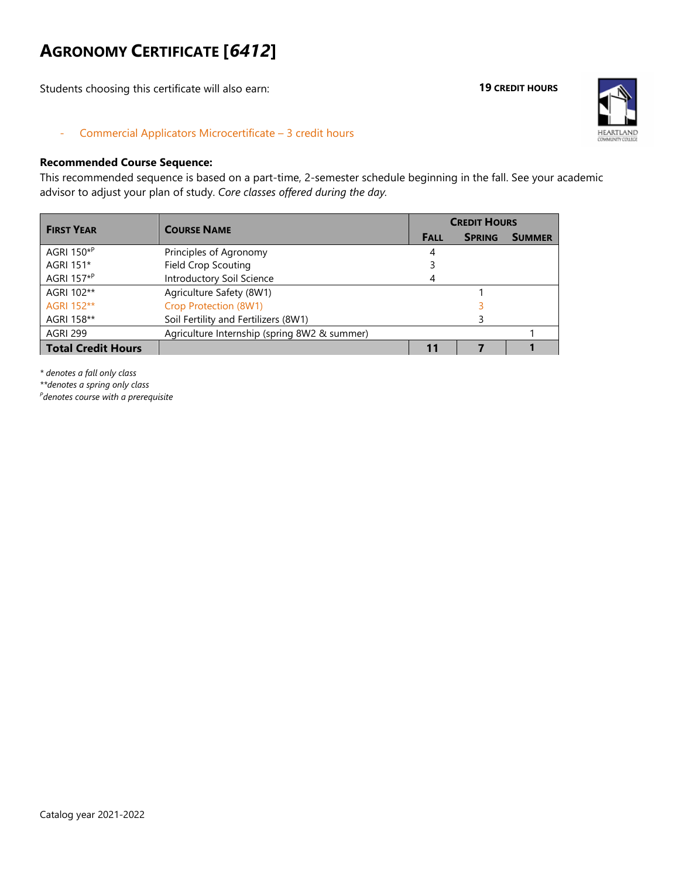# **AGRONOMY CERTIFICATE [***6412***]**

Students choosing this certificate will also earn:

#### **19 CREDIT HOURS**



- Commercial Applicators Microcertificate – 3 credit hours

### **Recommended Course Sequence:**

This recommended sequence is based on a part-time, 2-semester schedule beginning in the fall. See your academic advisor to adjust your plan of study. *Core classes offered during the day.*

| <b>FIRST YEAR</b>         | <b>COURSE NAME</b>                           | <b>CREDIT HOURS</b> |               |               |  |
|---------------------------|----------------------------------------------|---------------------|---------------|---------------|--|
|                           |                                              | <b>FALL</b>         | <b>SPRING</b> | <b>SUMMER</b> |  |
| AGRI 150 <sup>*P</sup>    | Principles of Agronomy                       |                     |               |               |  |
| AGRI 151*                 | <b>Field Crop Scouting</b>                   |                     |               |               |  |
| AGRI 157 <sup>*P</sup>    | Introductory Soil Science                    |                     |               |               |  |
| AGRI 102**                | Agriculture Safety (8W1)                     |                     |               |               |  |
| AGRI 152**                | Crop Protection (8W1)                        |                     |               |               |  |
| AGRI 158**                | Soil Fertility and Fertilizers (8W1)         |                     |               |               |  |
| <b>AGRI 299</b>           | Agriculture Internship (spring 8W2 & summer) |                     |               |               |  |
| <b>Total Credit Hours</b> |                                              | 11                  |               |               |  |

*\* denotes a fall only class*

*\*\*denotes a spring only class*

*P denotes course with a prerequisite*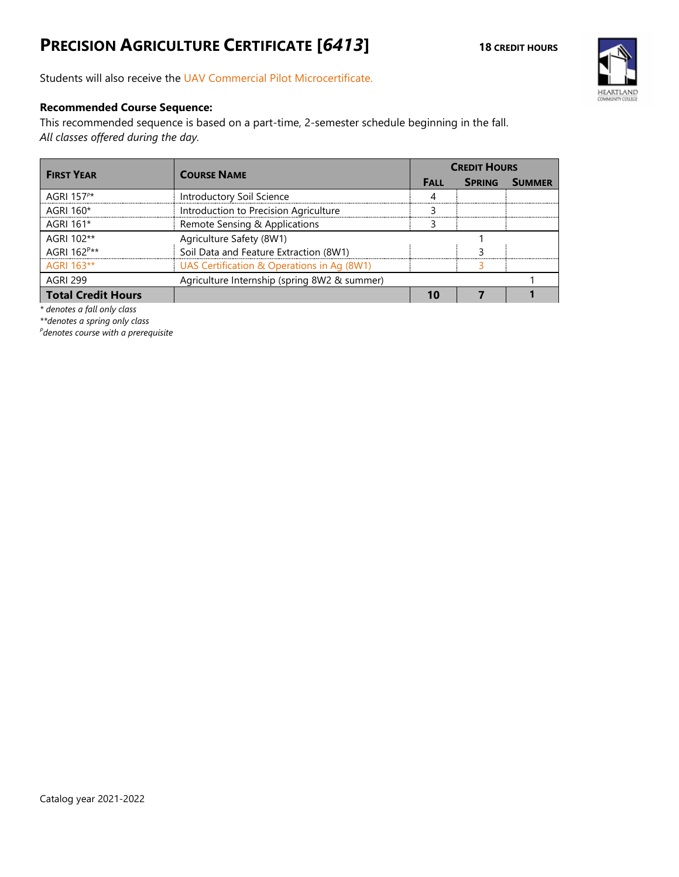# **PRECISION AGRICULTURE CERTIFICATE** [6413] **18** CREDIT HOURS



Students will also receive the UAV Commercial Pilot Microcertificate.

### **Recommended Course Sequence:**

This recommended sequence is based on a part-time, 2-semester schedule beginning in the fall. *All classes offered during the day.*

| <b>FIRST YEAR</b>         | <b>COURSE NAME</b>                           | <b>CREDIT HOURS</b> |               |               |
|---------------------------|----------------------------------------------|---------------------|---------------|---------------|
|                           |                                              | <b>FALL</b>         | <b>SPRING</b> | <b>SUMMER</b> |
| AGRI 157 $P^*$            | Introductory Soil Science                    |                     |               |               |
| AGRI 160*                 | Introduction to Precision Agriculture        |                     |               |               |
| AGRI 161*                 | Remote Sensing & Applications                |                     |               |               |
| AGRI 102**                | Agriculture Safety (8W1)                     |                     |               |               |
| AGRI 162P**               | Soil Data and Feature Extraction (8W1)       |                     |               |               |
| AGRI 163**                | UAS Certification & Operations in Ag (8W1)   |                     |               |               |
| <b>AGRI 299</b>           | Agriculture Internship (spring 8W2 & summer) |                     |               |               |
| <b>Total Credit Hours</b> |                                              |                     |               |               |

*\* denotes a fall only class*

*\*\*denotes a spring only class*

*P denotes course with a prerequisite*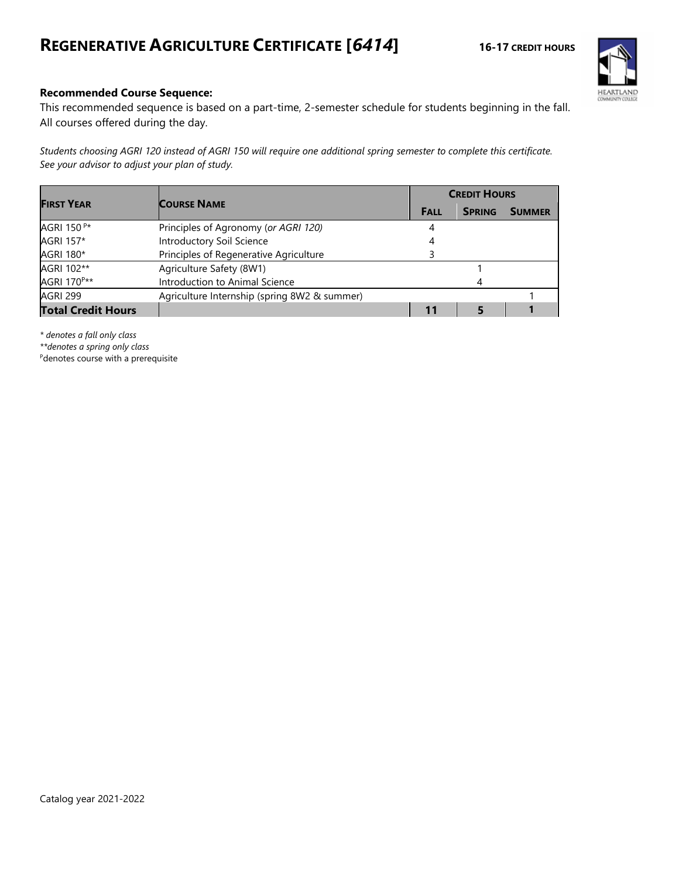# **REGENERATIVE AGRICULTURE CERTIFICATE [***6414***] 16-17 CREDIT HOURS**



### **Recommended Course Sequence:**

This recommended sequence is based on a part-time, 2-semester schedule for students beginning in the fall. All courses offered during the day.

*Students choosing AGRI 120 instead of AGRI 150 will require one additional spring semester to complete this certificate. See your advisor to adjust your plan of study.*

| <b>FIRST YEAR</b>         | <b>COURSE NAME</b>                           |             | <b>CREDIT HOURS</b> |               |  |  |
|---------------------------|----------------------------------------------|-------------|---------------------|---------------|--|--|
|                           |                                              | <b>FALL</b> | <b>SPRING</b>       | <b>SUMMER</b> |  |  |
| AGRI 150 <sup>P*</sup>    | Principles of Agronomy (or AGRI 120)         |             |                     |               |  |  |
| AGRI 157*                 | Introductory Soil Science                    |             |                     |               |  |  |
| AGRI 180*                 | Principles of Regenerative Agriculture       |             |                     |               |  |  |
| AGRI 102**                | Agriculture Safety (8W1)                     |             |                     |               |  |  |
| AGRI 170 <sup>P**</sup>   | Introduction to Animal Science               |             |                     |               |  |  |
| <b>AGRI 299</b>           | Agriculture Internship (spring 8W2 & summer) |             |                     |               |  |  |
| <b>Total Credit Hours</b> |                                              | 11          |                     |               |  |  |

*\* denotes a fall only class*

*\*\*denotes a spring only class*

<sup>P</sup>denotes course with a prerequisite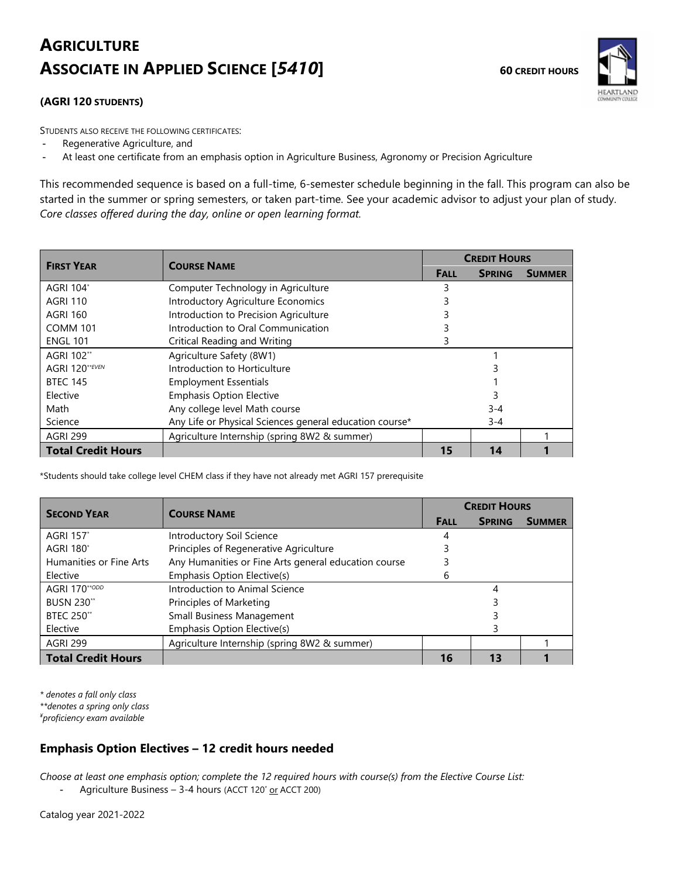# **AGRICULTURE ASSOCIATE IN APPLIED SCIENCE** [5410] 60 CREDIT HOURS



### **(AGRI 120 STUDENTS)**

STUDENTS ALSO RECEIVE THE FOLLOWING CERTIFICATES:

- Regenerative Agriculture, and
- At least one certificate from an emphasis option in Agriculture Business, Agronomy or Precision Agriculture

This recommended sequence is based on a full-time, 6-semester schedule beginning in the fall. This program can also be started in the summer or spring semesters, or taken part-time. See your academic advisor to adjust your plan of study. *Core classes offered during the day, online or open learning format.*

| <b>FIRST YEAR</b>         | <b>COURSE NAME</b>                                      | <b>CREDIT HOURS</b> |               |               |  |
|---------------------------|---------------------------------------------------------|---------------------|---------------|---------------|--|
|                           |                                                         | <b>FALL</b>         | <b>SPRING</b> | <b>SUMMER</b> |  |
| <b>AGRI 104*</b>          | Computer Technology in Agriculture                      | 3                   |               |               |  |
| <b>AGRI 110</b>           | <b>Introductory Agriculture Economics</b>               |                     |               |               |  |
| <b>AGRI 160</b>           | Introduction to Precision Agriculture                   |                     |               |               |  |
| <b>COMM 101</b>           | Introduction to Oral Communication                      |                     |               |               |  |
| <b>ENGL 101</b>           | Critical Reading and Writing                            |                     |               |               |  |
| AGRI 102**                | Agriculture Safety (8W1)                                |                     |               |               |  |
| <b>AGRI 120**EVEN</b>     | Introduction to Horticulture                            |                     |               |               |  |
| <b>BTEC 145</b>           | <b>Employment Essentials</b>                            |                     |               |               |  |
| Elective                  | <b>Emphasis Option Elective</b>                         |                     | 3             |               |  |
| Math                      | Any college level Math course                           |                     | $3 - 4$       |               |  |
| Science                   | Any Life or Physical Sciences general education course* |                     | $3 - 4$       |               |  |
| <b>AGRI 299</b>           | Agriculture Internship (spring 8W2 & summer)            |                     |               |               |  |
| <b>Total Credit Hours</b> |                                                         | 15                  | 14            |               |  |

\*Students should take college level CHEM class if they have not already met AGRI 157 prerequisite

| <b>SECOND YEAR</b>           | <b>COURSE NAME</b>                                   | <b>CREDIT HOURS</b> |               |               |
|------------------------------|------------------------------------------------------|---------------------|---------------|---------------|
|                              |                                                      | <b>FALL</b>         | <b>SPRING</b> | <b>SUMMER</b> |
| <b>AGRI 157</b> *            | Introductory Soil Science                            |                     |               |               |
| <b>AGRI 180</b> <sup>*</sup> | Principles of Regenerative Agriculture               |                     |               |               |
| Humanities or Fine Arts      | Any Humanities or Fine Arts general education course |                     |               |               |
| Elective                     | Emphasis Option Elective(s)                          | h                   |               |               |
| AGRI 170**ODD                | Introduction to Animal Science                       |                     |               |               |
| <b>BUSN 230**</b>            | Principles of Marketing                              |                     |               |               |
| <b>BTEC 250**</b>            | Small Business Management                            |                     |               |               |
| Elective                     | Emphasis Option Elective(s)                          |                     |               |               |
| <b>AGRI 299</b>              | Agriculture Internship (spring 8W2 & summer)         |                     |               |               |
| <b>Total Credit Hours</b>    |                                                      | 16                  | 13            |               |

*\* denotes a fall only class*

*\*\*denotes a spring only class*

*¥ proficiency exam available*

### **Emphasis Option Electives – 12 credit hours needed**

*Choose at least one emphasis option; complete the 12 required hours with course(s) from the Elective Course List:*

- Agriculture Business – 3-4 hours (ACCT 120<sup>\*</sup> or ACCT 200)